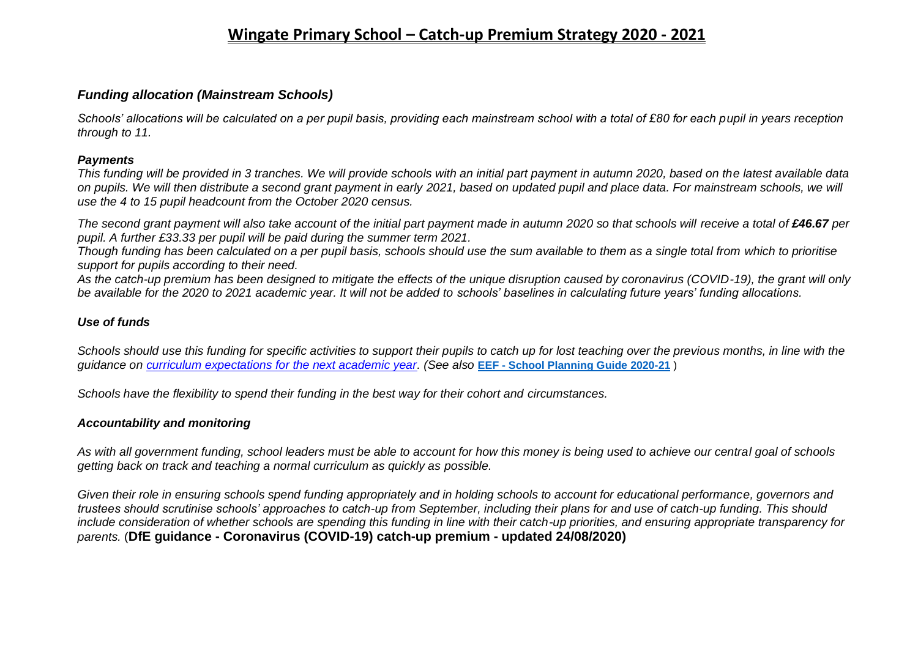## **Wingate Primary School – Catch-up Premium Strategy 2020 - 2021**

### *Funding allocation (Mainstream Schools)*

*Schools' allocations will be calculated on a per pupil basis, providing each mainstream school with a total of £80 for each pupil in years reception through to 11.*

#### *Payments*

*This funding will be provided in 3 tranches. We will provide schools with an initial part payment in autumn 2020, based on the latest available data on pupils. We will then distribute a second grant payment in early 2021, based on updated pupil and place data. For mainstream schools, we will use the 4 to 15 pupil headcount from the October 2020 census.*

*The second grant payment will also take account of the initial part payment made in autumn 2020 so that schools will receive a total of £46.67 per pupil. A further £33.33 per pupil will be paid during the summer term 2021.*

*Though funding has been calculated on a per pupil basis, schools should use the sum available to them as a single total from which to prioritise support for pupils according to their need.*

*As the catch-up premium has been designed to mitigate the effects of the unique disruption caused by coronavirus (COVID-19), the grant will only be available for the 2020 to 2021 academic year. It will not be added to schools' baselines in calculating future years' funding allocations.*

### *Use of funds*

*Schools should use this funding for specific activities to support their pupils to catch up for lost teaching over the previous months, in line with the guidance on [curriculum expectations for the next academic year.](https://www.gov.uk/government/publications/actions-for-schools-during-the-coronavirus-outbreak/guidance-for-full-opening-schools#section-3-curriculum-behaviour-and-pastoral-support) (See also* **EEF - [School Planning Guide 2020-21](https://educationendowmentfoundation.org.uk/covid-19-resources/guide-to-supporting-schools-planning/)** )

*Schools have the flexibility to spend their funding in the best way for their cohort and circumstances.*

#### *Accountability and monitoring*

*As with all government funding, school leaders must be able to account for how this money is being used to achieve our central goal of schools getting back on track and teaching a normal curriculum as quickly as possible.*

*Given their role in ensuring schools spend funding appropriately and in holding schools to account for educational performance, governors and trustees should scrutinise schools' approaches to catch-up from September, including their plans for and use of catch-up funding. This should include consideration of whether schools are spending this funding in line with their catch-up priorities, and ensuring appropriate transparency for parents.* (**DfE guidance - Coronavirus (COVID-19) catch-up premium - updated 24/08/2020)**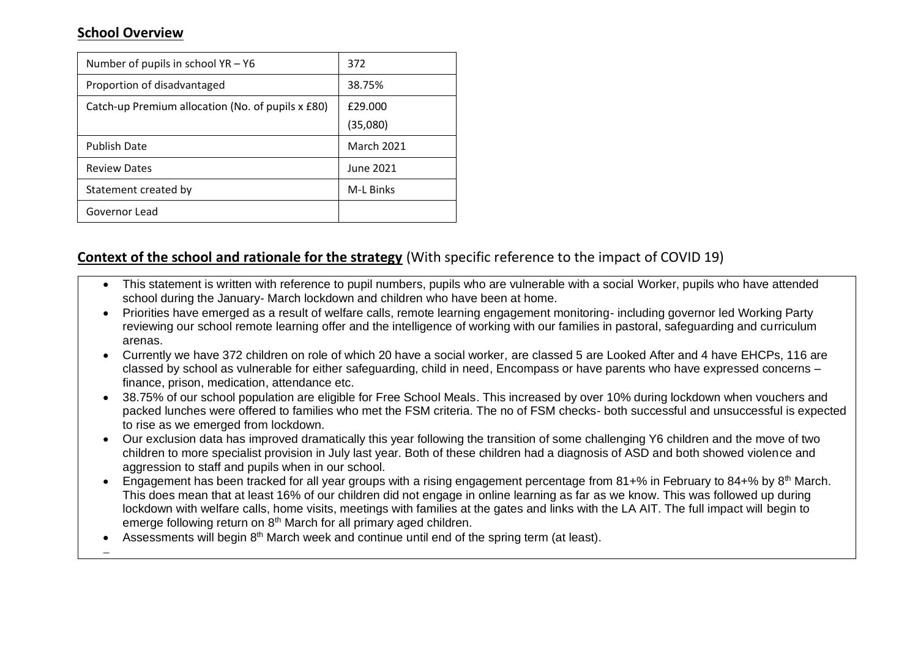## **School Overview**

−

| Number of pupils in school $YA - Y6$              | 372               |
|---------------------------------------------------|-------------------|
| Proportion of disadvantaged                       | 38.75%            |
| Catch-up Premium allocation (No. of pupils x £80) | £29,000           |
|                                                   | (35,080)          |
| <b>Publish Date</b>                               | <b>March 2021</b> |
| <b>Review Dates</b>                               | June 2021         |
| Statement created by                              | <b>M-L Binks</b>  |
| Governor Lead                                     |                   |

## **Context of the school and rationale for the strategy** (With specific reference to the impact of COVID 19)

- This statement is written with reference to pupil numbers, pupils who are vulnerable with a social Worker, pupils who have attended school during the January- March lockdown and children who have been at home.
- Priorities have emerged as a result of welfare calls, remote learning engagement monitoring- including governor led Working Party reviewing our school remote learning offer and the intelligence of working with our families in pastoral, safeguarding and curriculum arenas.
- Currently we have 372 children on role of which 20 have a social worker, are classed 5 are Looked After and 4 have EHCPs, 116 are classed by school as vulnerable for either safeguarding, child in need, Encompass or have parents who have expressed concerns – finance, prison, medication, attendance etc.
- 38.75% of our school population are eligible for Free School Meals. This increased by over 10% during lockdown when vouchers and packed lunches were offered to families who met the FSM criteria. The no of FSM checks- both successful and unsuccessful is expected to rise as we emerged from lockdown.
- Our exclusion data has improved dramatically this year following the transition of some challenging Y6 children and the move of two children to more specialist provision in July last year. Both of these children had a diagnosis of ASD and both showed violence and aggression to staff and pupils when in our school.
- Engagement has been tracked for all year groups with a rising engagement percentage from 81+% in February to 84+% by 8<sup>th</sup> March. This does mean that at least 16% of our children did not engage in online learning as far as we know. This was followed up during lockdown with welfare calls, home visits, meetings with families at the gates and links with the LA AIT. The full impact will begin to emerge following return on 8<sup>th</sup> March for all primary aged children.
- Assessments will begin 8<sup>th</sup> March week and continue until end of the spring term (at least).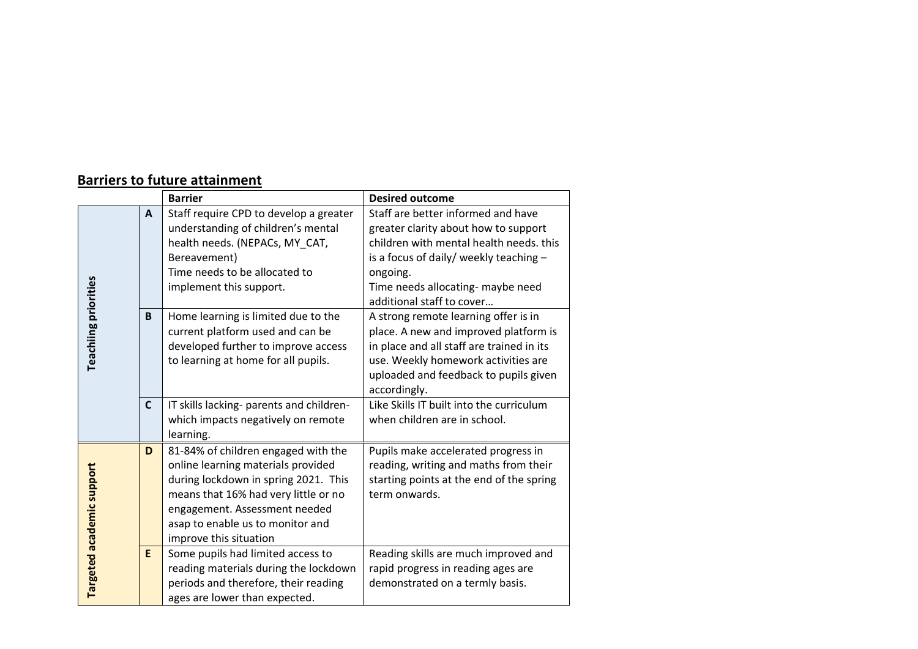# **Barriers to future attainment**

|                             |             | <b>Barrier</b>                                                                                                                                                                                                                                           | <b>Desired outcome</b>                                                                                                                                                                                                                        |
|-----------------------------|-------------|----------------------------------------------------------------------------------------------------------------------------------------------------------------------------------------------------------------------------------------------------------|-----------------------------------------------------------------------------------------------------------------------------------------------------------------------------------------------------------------------------------------------|
|                             | A           | Staff require CPD to develop a greater<br>understanding of children's mental<br>health needs. (NEPACs, MY_CAT,<br>Bereavement)<br>Time needs to be allocated to<br>implement this support.                                                               | Staff are better informed and have<br>greater clarity about how to support<br>children with mental health needs. this<br>is a focus of daily/ weekly teaching -<br>ongoing.<br>Time needs allocating- maybe need<br>additional staff to cover |
| <b>Teachiing priorities</b> | B           | Home learning is limited due to the<br>current platform used and can be<br>developed further to improve access<br>to learning at home for all pupils.                                                                                                    | A strong remote learning offer is in<br>place. A new and improved platform is<br>in place and all staff are trained in its<br>use. Weekly homework activities are<br>uploaded and feedback to pupils given<br>accordingly.                    |
|                             | $\mathbf c$ | IT skills lacking- parents and children-<br>which impacts negatively on remote<br>learning.                                                                                                                                                              | Like Skills IT built into the curriculum<br>when children are in school.                                                                                                                                                                      |
| Targeted academic support   | D           | 81-84% of children engaged with the<br>online learning materials provided<br>during lockdown in spring 2021. This<br>means that 16% had very little or no<br>engagement. Assessment needed<br>asap to enable us to monitor and<br>improve this situation | Pupils make accelerated progress in<br>reading, writing and maths from their<br>starting points at the end of the spring<br>term onwards.                                                                                                     |
|                             | E           | Some pupils had limited access to<br>reading materials during the lockdown<br>periods and therefore, their reading<br>ages are lower than expected.                                                                                                      | Reading skills are much improved and<br>rapid progress in reading ages are<br>demonstrated on a termly basis.                                                                                                                                 |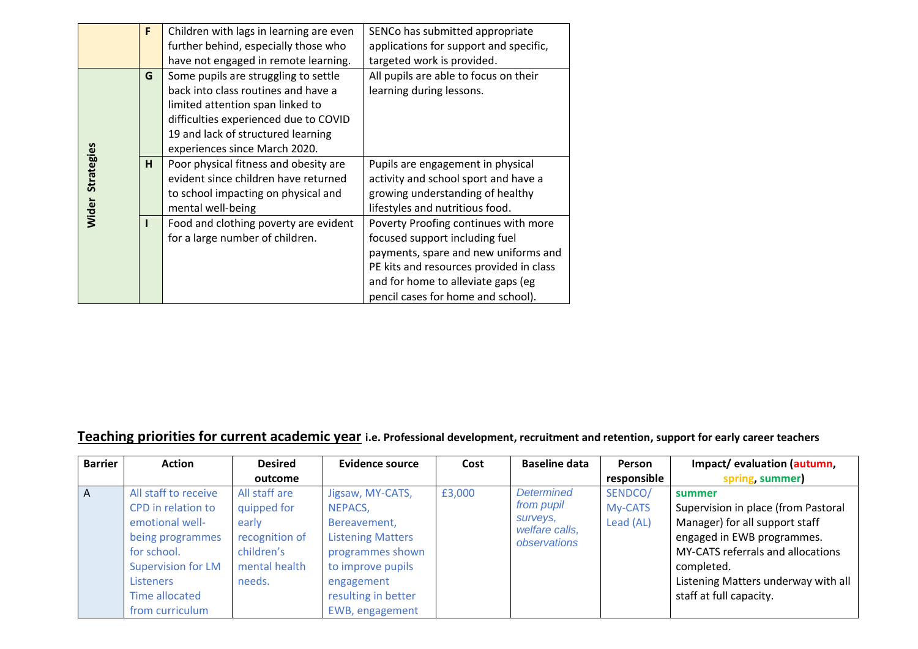|              | F | Children with lags in learning are even | SENCo has submitted appropriate         |
|--------------|---|-----------------------------------------|-----------------------------------------|
|              |   |                                         |                                         |
|              |   | further behind, especially those who    | applications for support and specific,  |
|              |   | have not engaged in remote learning.    | targeted work is provided.              |
|              | G | Some pupils are struggling to settle    | All pupils are able to focus on their   |
|              |   | back into class routines and have a     | learning during lessons.                |
|              |   | limited attention span linked to        |                                         |
|              |   | difficulties experienced due to COVID   |                                         |
|              |   | 19 and lack of structured learning      |                                         |
|              |   | experiences since March 2020.           |                                         |
| Strategies   | H | Poor physical fitness and obesity are   | Pupils are engagement in physical       |
|              |   | evident since children have returned    | activity and school sport and have a    |
|              |   | to school impacting on physical and     | growing understanding of healthy        |
| <b>Wider</b> |   | mental well-being                       | lifestyles and nutritious food.         |
|              |   | Food and clothing poverty are evident   | Poverty Proofing continues with more    |
|              |   | for a large number of children.         | focused support including fuel          |
|              |   |                                         | payments, spare and new uniforms and    |
|              |   |                                         | PE kits and resources provided in class |
|              |   |                                         | and for home to alleviate gaps (eg      |
|              |   |                                         | pencil cases for home and school).      |

# **Teaching priorities for current academic year i.e. Professional development, recruitment and retention, support for early career teachers**

| <b>Barrier</b> | <b>Action</b>                                                                                                                                                                          | <b>Desired</b>                                                                                   | <b>Evidence source</b>                                                                                                                                                   | Cost   | <b>Baseline data</b>                                                          | Person                          | Impact/evaluation (autumn,                                                                                                                                                                                                         |
|----------------|----------------------------------------------------------------------------------------------------------------------------------------------------------------------------------------|--------------------------------------------------------------------------------------------------|--------------------------------------------------------------------------------------------------------------------------------------------------------------------------|--------|-------------------------------------------------------------------------------|---------------------------------|------------------------------------------------------------------------------------------------------------------------------------------------------------------------------------------------------------------------------------|
|                |                                                                                                                                                                                        | outcome                                                                                          |                                                                                                                                                                          |        |                                                                               | responsible                     | spring, summer)                                                                                                                                                                                                                    |
| A              | All staff to receive<br>CPD in relation to<br>emotional well-<br>being programmes<br>for school.<br><b>Supervision for LM</b><br><b>Listeners</b><br>Time allocated<br>from curriculum | All staff are<br>quipped for<br>early<br>recognition of<br>children's<br>mental health<br>needs. | Jigsaw, MY-CATS,<br>NEPACS,<br>Bereavement,<br><b>Listening Matters</b><br>programmes shown<br>to improve pupils<br>engagement<br>resulting in better<br>EWB, engagement | £3,000 | <b>Determined</b><br>from pupil<br>surveys,<br>welfare calls,<br>observations | SENDCO/<br>My-CATS<br>Lead (AL) | summer<br>Supervision in place (from Pastoral<br>Manager) for all support staff<br>engaged in EWB programmes.<br>MY-CATS referrals and allocations<br>completed.<br>Listening Matters underway with all<br>staff at full capacity. |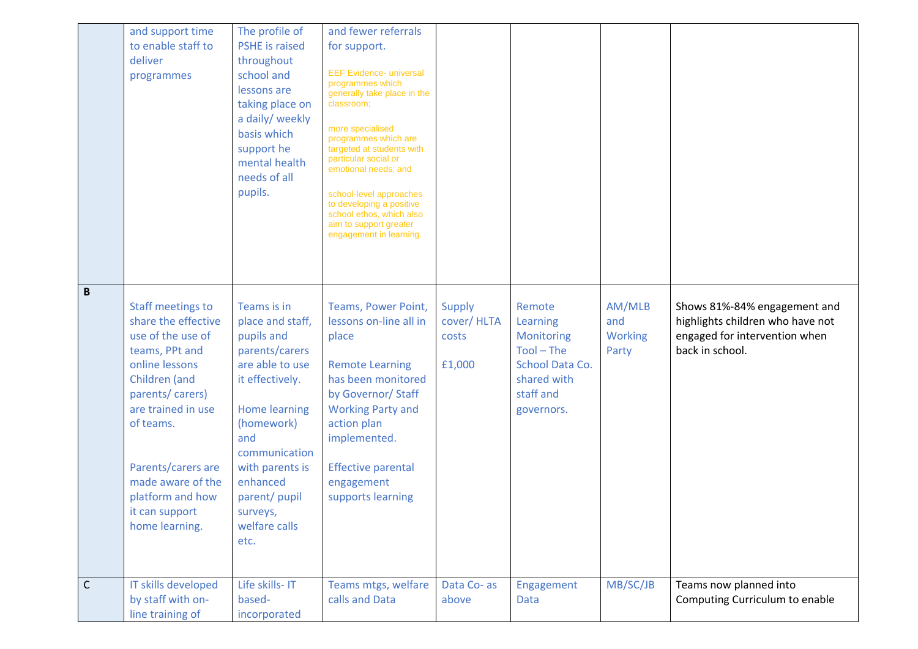|              | and support time<br>to enable staff to<br>deliver<br>programmes                                                                                                                                                                                                                    | The profile of<br><b>PSHE</b> is raised<br>throughout<br>school and<br>lessons are<br>taking place on<br>a daily/ weekly<br>basis which<br>support he<br>mental health<br>needs of all<br>pupils.                                                        | and fewer referrals<br>for support.<br><b>EEF Evidence- universal</b><br>programmes which<br>generally take place in the<br>classroom;<br>more specialised<br>programmes which are<br>targeted at students with<br>particular social or<br>emotional needs: and<br>school-level approaches<br>to developing a positive<br>school ethos, which also<br>aim to support greater<br>engagement in learning. |                                                |                                                                                                               |                                          |                                                                                                                      |
|--------------|------------------------------------------------------------------------------------------------------------------------------------------------------------------------------------------------------------------------------------------------------------------------------------|----------------------------------------------------------------------------------------------------------------------------------------------------------------------------------------------------------------------------------------------------------|---------------------------------------------------------------------------------------------------------------------------------------------------------------------------------------------------------------------------------------------------------------------------------------------------------------------------------------------------------------------------------------------------------|------------------------------------------------|---------------------------------------------------------------------------------------------------------------|------------------------------------------|----------------------------------------------------------------------------------------------------------------------|
| $\mathbf B$  | <b>Staff meetings to</b><br>share the effective<br>use of the use of<br>teams, PPt and<br>online lessons<br>Children (and<br>parents/carers)<br>are trained in use<br>of teams.<br>Parents/carers are<br>made aware of the<br>platform and how<br>it can support<br>home learning. | Teams is in<br>place and staff,<br>pupils and<br>parents/carers<br>are able to use<br>it effectively.<br><b>Home learning</b><br>(homework)<br>and<br>communication<br>with parents is<br>enhanced<br>parent/ pupil<br>surveys,<br>welfare calls<br>etc. | Teams, Power Point,<br>lessons on-line all in<br>place<br><b>Remote Learning</b><br>has been monitored<br>by Governor/ Staff<br><b>Working Party and</b><br>action plan<br>implemented.<br><b>Effective parental</b><br>engagement<br>supports learning                                                                                                                                                 | <b>Supply</b><br>cover/HLTA<br>costs<br>£1,000 | Remote<br>Learning<br>Monitoring<br>$Tool - The$<br>School Data Co.<br>shared with<br>staff and<br>governors. | AM/MLB<br>and<br><b>Working</b><br>Party | Shows 81%-84% engagement and<br>highlights children who have not<br>engaged for intervention when<br>back in school. |
| $\mathsf{C}$ | IT skills developed<br>by staff with on-<br>line training of                                                                                                                                                                                                                       | Life skills- IT<br>based-<br>incorporated                                                                                                                                                                                                                | Teams mtgs, welfare<br>calls and Data                                                                                                                                                                                                                                                                                                                                                                   | Data Co- as<br>above                           | Engagement<br>Data                                                                                            | MB/SC/JB                                 | Teams now planned into<br>Computing Curriculum to enable                                                             |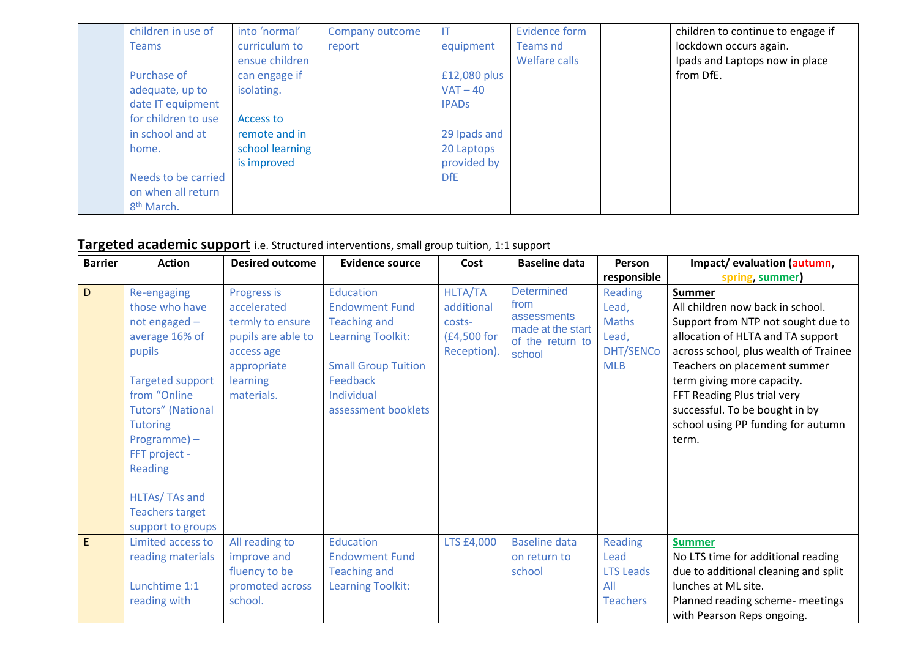| children in use of     | into 'normal'   | Company outcome |              | <b>Evidence form</b> | children to continue to engage if |
|------------------------|-----------------|-----------------|--------------|----------------------|-----------------------------------|
| <b>Teams</b>           | curriculum to   | report          | equipment    | Teams nd             | lockdown occurs again.            |
|                        | ensue children  |                 |              | Welfare calls        | Ipads and Laptops now in place    |
| Purchase of            | can engage if   |                 | £12,080 plus |                      | from DfE.                         |
| adequate, up to        | isolating.      |                 | $VAT - 40$   |                      |                                   |
| date IT equipment      |                 |                 | <b>IPADS</b> |                      |                                   |
| for children to use    | Access to       |                 |              |                      |                                   |
| in school and at       | remote and in   |                 | 29 Ipads and |                      |                                   |
| home.                  | school learning |                 | 20 Laptops   |                      |                                   |
|                        | is improved     |                 | provided by  |                      |                                   |
| Needs to be carried    |                 |                 | <b>DfE</b>   |                      |                                   |
| on when all return     |                 |                 |              |                      |                                   |
| 8 <sup>th</sup> March. |                 |                 |              |                      |                                   |

# **Targeted academic support** i.e. Structured interventions, small group tuition, 1:1 support

| <b>Barrier</b> | <b>Action</b>                                                                                                                                                                                                                          | <b>Desired outcome</b>                                                                                                      | <b>Evidence source</b>                                                                                                                                               | Cost                                                                 | <b>Baseline data</b>                                                                        | Person                                                                      | Impact/evaluation (autumn,                                                                                                                                                                                                                                                                                                                          |
|----------------|----------------------------------------------------------------------------------------------------------------------------------------------------------------------------------------------------------------------------------------|-----------------------------------------------------------------------------------------------------------------------------|----------------------------------------------------------------------------------------------------------------------------------------------------------------------|----------------------------------------------------------------------|---------------------------------------------------------------------------------------------|-----------------------------------------------------------------------------|-----------------------------------------------------------------------------------------------------------------------------------------------------------------------------------------------------------------------------------------------------------------------------------------------------------------------------------------------------|
|                |                                                                                                                                                                                                                                        |                                                                                                                             |                                                                                                                                                                      |                                                                      |                                                                                             | responsible                                                                 | spring, summer)                                                                                                                                                                                                                                                                                                                                     |
| D              | Re-engaging<br>those who have<br>not engaged -<br>average 16% of<br>pupils<br><b>Targeted support</b><br>from "Online"<br><b>Tutors"</b> (National<br><b>Tutoring</b><br>$Programme$ ) –<br>FFT project -<br>Reading<br>HLTAs/ TAs and | Progress is<br>accelerated<br>termly to ensure<br>pupils are able to<br>access age<br>appropriate<br>learning<br>materials. | Education<br><b>Endowment Fund</b><br><b>Teaching and</b><br><b>Learning Toolkit:</b><br><b>Small Group Tuition</b><br>Feedback<br>Individual<br>assessment booklets | <b>HLTA/TA</b><br>additional<br>costs-<br>(£4,500 for<br>Reception). | <b>Determined</b><br>from<br>assessments<br>made at the start<br>of the return to<br>school | Reading<br>Lead,<br><b>Maths</b><br>Lead,<br><b>DHT/SENCo</b><br><b>MLB</b> | <b>Summer</b><br>All children now back in school.<br>Support from NTP not sought due to<br>allocation of HLTA and TA support<br>across school, plus wealth of Trainee<br>Teachers on placement summer<br>term giving more capacity.<br>FFT Reading Plus trial very<br>successful. To be bought in by<br>school using PP funding for autumn<br>term. |
|                | <b>Teachers target</b><br>support to groups                                                                                                                                                                                            |                                                                                                                             |                                                                                                                                                                      |                                                                      |                                                                                             |                                                                             |                                                                                                                                                                                                                                                                                                                                                     |
| E              | Limited access to<br>reading materials<br>Lunchtime 1:1<br>reading with                                                                                                                                                                | All reading to<br>improve and<br>fluency to be<br>promoted across<br>school.                                                | Education<br><b>Endowment Fund</b><br><b>Teaching and</b><br>Learning Toolkit:                                                                                       | LTS £4,000                                                           | <b>Baseline data</b><br>on return to<br>school                                              | Reading<br>Lead<br><b>LTS Leads</b><br>All<br><b>Teachers</b>               | <b>Summer</b><br>No LTS time for additional reading<br>due to additional cleaning and split<br>lunches at ML site.<br>Planned reading scheme- meetings<br>with Pearson Reps ongoing.                                                                                                                                                                |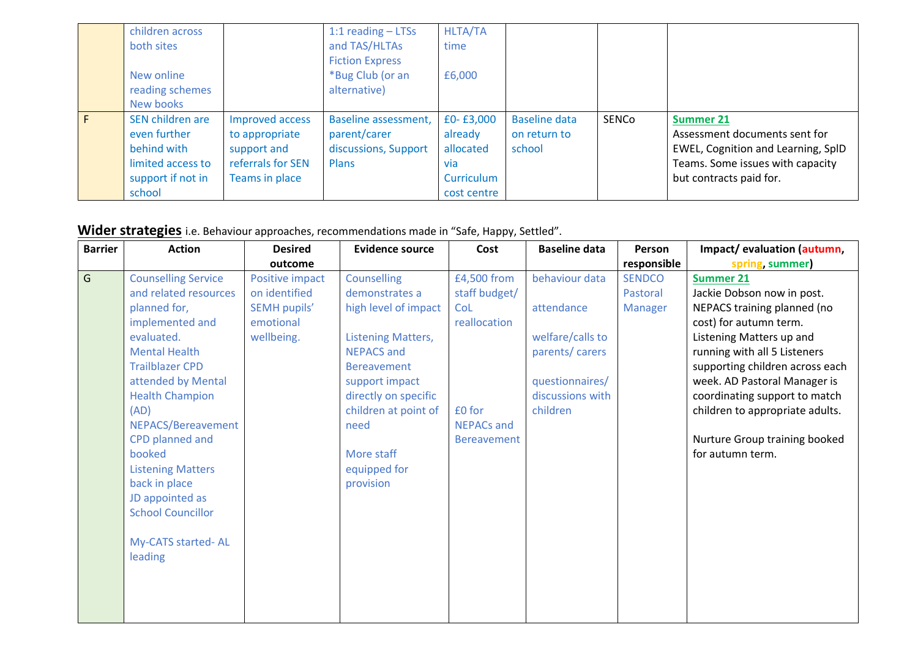|   | children across<br>both sites<br>New online<br>reading schemes<br>New books                         |                                                                                         | 1:1 reading $-$ LTSs<br>and TAS/HLTAs<br><b>Fiction Express</b><br>*Bug Club (or an<br>alternative) | <b>HLTA/TA</b><br>time<br>£6,000                                      |                                                |       |                                                                                                                                                        |
|---|-----------------------------------------------------------------------------------------------------|-----------------------------------------------------------------------------------------|-----------------------------------------------------------------------------------------------------|-----------------------------------------------------------------------|------------------------------------------------|-------|--------------------------------------------------------------------------------------------------------------------------------------------------------|
| F | SEN children are<br>even further<br>behind with<br>limited access to<br>support if not in<br>school | Improved access<br>to appropriate<br>support and<br>referrals for SEN<br>Teams in place | Baseline assessment,<br>parent/carer<br>discussions, Support<br><b>Plans</b>                        | £0-£3,000<br>already<br>allocated<br>via<br>Curriculum<br>cost centre | <b>Baseline data</b><br>on return to<br>school | SENCo | <b>Summer 21</b><br>Assessment documents sent for<br>EWEL, Cognition and Learning, SplD<br>Teams. Some issues with capacity<br>but contracts paid for. |

**Wider strategies** i.e. Behaviour approaches, recommendations made in "Safe, Happy, Settled".

| <b>Barrier</b> | <b>Action</b>              | <b>Desired</b>      | <b>Evidence source</b>    | Cost               | <b>Baseline data</b> | Person         | Impact/evaluation (autumn,      |
|----------------|----------------------------|---------------------|---------------------------|--------------------|----------------------|----------------|---------------------------------|
|                |                            | outcome             |                           |                    |                      | responsible    | spring, summer)                 |
| $\overline{G}$ | <b>Counselling Service</b> | Positive impact     | <b>Counselling</b>        | £4,500 from        | behaviour data       | <b>SENDCO</b>  | <b>Summer 21</b>                |
|                | and related resources      | on identified       | demonstrates a            | staff budget/      |                      | Pastoral       | Jackie Dobson now in post.      |
|                | planned for,               | <b>SEMH pupils'</b> | high level of impact      | CoL                | attendance           | <b>Manager</b> | NEPACS training planned (no     |
|                | implemented and            | emotional           |                           | reallocation       |                      |                | cost) for autumn term.          |
|                | evaluated.                 | wellbeing.          | <b>Listening Matters,</b> |                    | welfare/calls to     |                | Listening Matters up and        |
|                | <b>Mental Health</b>       |                     | <b>NEPACS and</b>         |                    | parents/ carers      |                | running with all 5 Listeners    |
|                | <b>Trailblazer CPD</b>     |                     | <b>Bereavement</b>        |                    |                      |                | supporting children across each |
|                | attended by Mental         |                     | support impact            |                    | questionnaires/      |                | week. AD Pastoral Manager is    |
|                | <b>Health Champion</b>     |                     | directly on specific      |                    | discussions with     |                | coordinating support to match   |
|                | (AD)                       |                     | children at point of      | £0 for             | children             |                | children to appropriate adults. |
|                | NEPACS/Bereavement         |                     | need                      | <b>NEPACs and</b>  |                      |                |                                 |
|                | <b>CPD</b> planned and     |                     |                           | <b>Bereavement</b> |                      |                | Nurture Group training booked   |
|                | booked                     |                     | More staff                |                    |                      |                | for autumn term.                |
|                | <b>Listening Matters</b>   |                     | equipped for              |                    |                      |                |                                 |
|                | back in place              |                     | provision                 |                    |                      |                |                                 |
|                | JD appointed as            |                     |                           |                    |                      |                |                                 |
|                | <b>School Councillor</b>   |                     |                           |                    |                      |                |                                 |
|                |                            |                     |                           |                    |                      |                |                                 |
|                | My-CATS started-AL         |                     |                           |                    |                      |                |                                 |
|                | leading                    |                     |                           |                    |                      |                |                                 |
|                |                            |                     |                           |                    |                      |                |                                 |
|                |                            |                     |                           |                    |                      |                |                                 |
|                |                            |                     |                           |                    |                      |                |                                 |
|                |                            |                     |                           |                    |                      |                |                                 |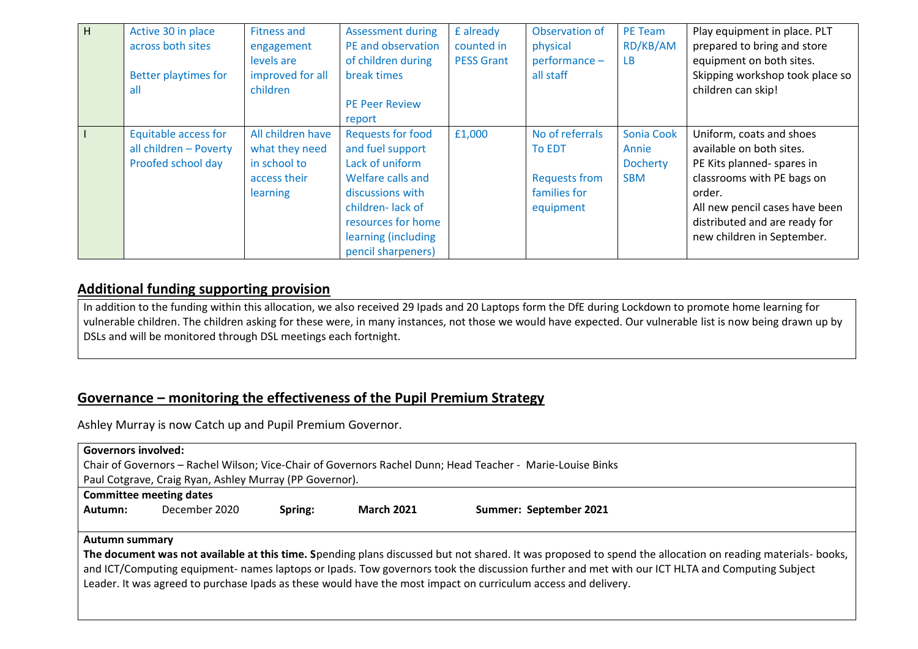| H | Active 30 in place<br>across both sites<br><b>Better playtimes for</b><br>all | <b>Fitness and</b><br>engagement<br>levels are<br>improved for all<br>children  | <b>Assessment during</b><br>PE and observation<br>of children during<br>break times<br><b>PE Peer Review</b><br>report                                                                          | £ already<br>counted in<br><b>PESS Grant</b> | Observation of<br>physical<br>performance -<br>all staff                              | PE Team<br>RD/KB/AM<br>LB.                           | Play equipment in place. PLT<br>prepared to bring and store<br>equipment on both sites.<br>Skipping workshop took place so<br>children can skip!                                                                            |
|---|-------------------------------------------------------------------------------|---------------------------------------------------------------------------------|-------------------------------------------------------------------------------------------------------------------------------------------------------------------------------------------------|----------------------------------------------|---------------------------------------------------------------------------------------|------------------------------------------------------|-----------------------------------------------------------------------------------------------------------------------------------------------------------------------------------------------------------------------------|
|   | <b>Equitable access for</b><br>all children - Poverty<br>Proofed school day   | All children have<br>what they need<br>in school to<br>access their<br>learning | <b>Requests for food</b><br>and fuel support<br>Lack of uniform<br>Welfare calls and<br>discussions with<br>children-lack of<br>resources for home<br>learning (including<br>pencil sharpeners) | £1,000                                       | No of referrals<br><b>To EDT</b><br><b>Requests from</b><br>families for<br>equipment | Sonia Cook<br>Annie<br><b>Docherty</b><br><b>SBM</b> | Uniform, coats and shoes<br>available on both sites.<br>PE Kits planned- spares in<br>classrooms with PE bags on<br>order.<br>All new pencil cases have been<br>distributed and are ready for<br>new children in September. |

### **Additional funding supporting provision**

In addition to the funding within this allocation, we also received 29 Ipads and 20 Laptops form the DfE during Lockdown to promote home learning for vulnerable children. The children asking for these were, in many instances, not those we would have expected. Our vulnerable list is now being drawn up by DSLs and will be monitored through DSL meetings each fortnight.

### **Governance – monitoring the effectiveness of the Pupil Premium Strategy**

Ashley Murray is now Catch up and Pupil Premium Governor.

| <b>Governors involved:</b>                                                                                 |                                                         |         |                   |                                                                                                                                                            |  |  |  |  |
|------------------------------------------------------------------------------------------------------------|---------------------------------------------------------|---------|-------------------|------------------------------------------------------------------------------------------------------------------------------------------------------------|--|--|--|--|
| Chair of Governors - Rachel Wilson; Vice-Chair of Governors Rachel Dunn; Head Teacher - Marie-Louise Binks |                                                         |         |                   |                                                                                                                                                            |  |  |  |  |
|                                                                                                            | Paul Cotgrave, Craig Ryan, Ashley Murray (PP Governor). |         |                   |                                                                                                                                                            |  |  |  |  |
| <b>Committee meeting dates</b>                                                                             |                                                         |         |                   |                                                                                                                                                            |  |  |  |  |
| Autumn:                                                                                                    | December 2020                                           | Spring: | <b>March 2021</b> | Summer: September 2021                                                                                                                                     |  |  |  |  |
|                                                                                                            |                                                         |         |                   |                                                                                                                                                            |  |  |  |  |
| Autumn summary                                                                                             |                                                         |         |                   |                                                                                                                                                            |  |  |  |  |
|                                                                                                            |                                                         |         |                   | The document was not available at this time. Spending plans discussed but not shared. It was proposed to spend the allocation on reading materials- books, |  |  |  |  |
|                                                                                                            |                                                         |         |                   | and ICT/Computing equipment- names laptops or Ipads. Tow governors took the discussion further and met with our ICT HLTA and Computing Subject             |  |  |  |  |
|                                                                                                            |                                                         |         |                   | Leader. It was agreed to purchase Ipads as these would have the most impact on curriculum access and delivery.                                             |  |  |  |  |
|                                                                                                            |                                                         |         |                   |                                                                                                                                                            |  |  |  |  |
|                                                                                                            |                                                         |         |                   |                                                                                                                                                            |  |  |  |  |